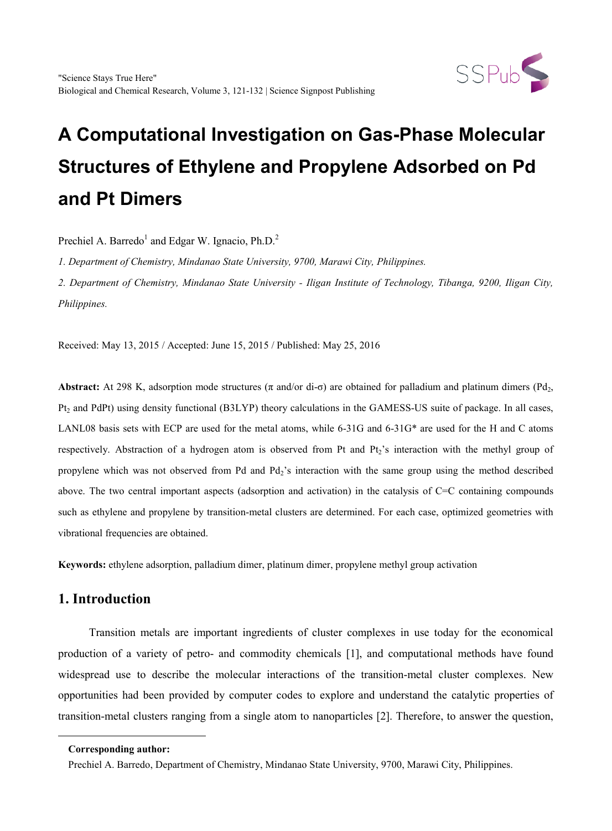

# **A Computational Investigation on Gas-Phase Molecular Structures of Ethylene and Propylene Adsorbed on Pd and Pt Dimers**

Prechiel A. Barredo<sup>1</sup> and Edgar W. Ignacio,  $Ph.D.<sup>2</sup>$ 

*1. Department of Chemistry, Mindanao State University, 9700, Marawi City, Philippines.*

*2. Department of Chemistry, Mindanao State University - Iligan Institute of Technology, Tibanga, 9200, Iligan City, Philippines.*

Received: May 13, 2015 / Accepted: June 15, 2015 / Published: May 25, 2016

**Abstract:** At 298 K, adsorption mode structures ( $\pi$  and/or di- $\sigma$ ) are obtained for palladium and platinum dimers (Pd<sub>2</sub>, Pt<sub>2</sub> and PdPt) using density functional (B3LYP) theory calculations in the GAMESS-US suite of package. In all cases, LANL08 basis sets with ECP are used for the metal atoms, while 6-31G and 6-31G\* are used for the H and C atoms respectively. Abstraction of a hydrogen atom is observed from Pt and Pt2's interaction with the methyl group of propylene which was not observed from Pd and Pd<sub>2</sub>'s interaction with the same group using the method described above. The two central important aspects (adsorption and activation) in the catalysis of C=C containing compounds such as ethylene and propylene by transition-metal clusters are determined. For each case, optimized geometries with vibrational frequencies are obtained.

**Keywords:** ethylene adsorption, palladium dimer, platinum dimer, propylene methyl group activation

# **1. Introduction**

Transition metals are important ingredients of cluster complexes in use today for the economical production of a variety of petro- and commodity chemicals [1], and computational methods have found widespread use to describe the molecular interactions of the transition-metal cluster complexes. New opportunities had been provided by computer codes to explore and understand the catalytic properties of transition-metal clusters ranging from a single atom to nanoparticles [2]. Therefore, to answer the question,

<span id="page-0-0"></span>-

**Corresponding author:**

Prechiel A. Barredo, Department of Chemistry, Mindanao State University, 9700, Marawi City, Philippines.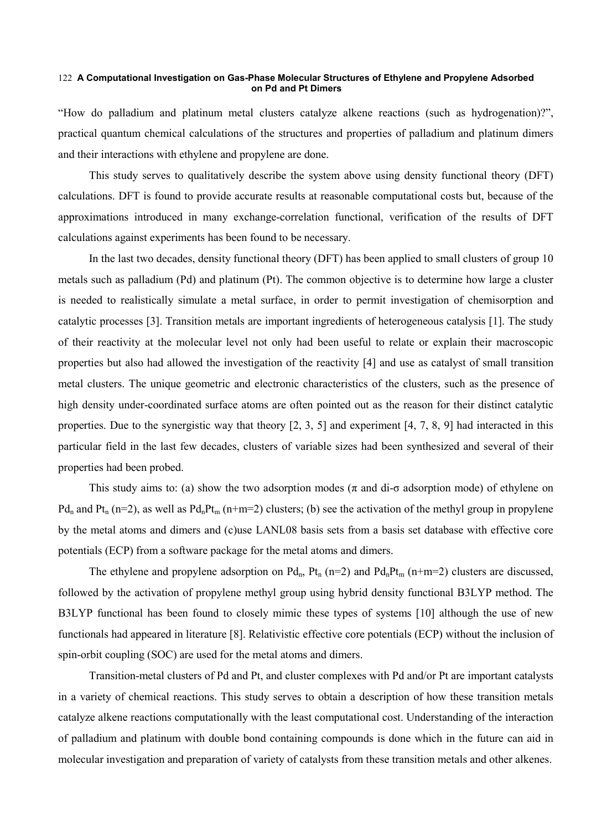#### **A Computational Investigation on Gas-Phase Molecular Structures of Ethylene and Propylene Adsorbed**  122 **on Pd and Pt Dimers**

"How do palladium and platinum metal clusters catalyze alkene reactions (such as hydrogenation)?", practical quantum chemical calculations of the structures and properties of palladium and platinum dimers and their interactions with ethylene and propylene are done.

This study serves to qualitatively describe the system above using density functional theory (DFT) calculations. DFT is found to provide accurate results at reasonable computational costs but, because of the approximations introduced in many exchange-correlation functional, verification of the results of DFT calculations against experiments has been found to be necessary.

In the last two decades, density functional theory (DFT) has been applied to small clusters of group 10 metals such as palladium (Pd) and platinum (Pt). The common objective is to determine how large a cluster is needed to realistically simulate a metal surface, in order to permit investigation of chemisorption and catalytic processes [3]. Transition metals are important ingredients of heterogeneous catalysis [1]. The study of their reactivity at the molecular level not only had been useful to relate or explain their macroscopic properties but also had allowed the investigation of the reactivity [4] and use as catalyst of small transition metal clusters. The unique geometric and electronic characteristics of the clusters, such as the presence of high density under-coordinated surface atoms are often pointed out as the reason for their distinct catalytic properties. Due to the synergistic way that theory  $[2, 3, 5]$  and experiment  $[4, 7, 8, 9]$  had interacted in this particular field in the last few decades, clusters of variable sizes had been synthesized and several of their properties had been probed.

This study aims to: (a) show the two adsorption modes ( $\pi$  and di- $\sigma$  adsorption mode) of ethylene on Pd<sub>n</sub> and Pt<sub>n</sub> (n=2), as well as Pd<sub>n</sub>Pt<sub>m</sub> (n+m=2) clusters; (b) see the activation of the methyl group in propylene by the metal atoms and dimers and (c)use LANL08 basis sets from a basis set database with effective core potentials (ECP) from a software package for the metal atoms and dimers.

The ethylene and propylene adsorption on  $Pd_n$ ,  $Pt_n$  (n=2) and  $Pd_nPt_m$  (n+m=2) clusters are discussed, followed by the activation of propylene methyl group using hybrid density functional B3LYP method. The B3LYP functional has been found to closely mimic these types of systems [10] although the use of new functionals had appeared in literature [8]. Relativistic effective core potentials (ECP) without the inclusion of spin-orbit coupling (SOC) are used for the metal atoms and dimers.

Transition-metal clusters of Pd and Pt, and cluster complexes with Pd and/or Pt are important catalysts in a variety of chemical reactions. This study serves to obtain a description of how these transition metals catalyze alkene reactions computationally with the least computational cost. Understanding of the interaction of palladium and platinum with double bond containing compounds is done which in the future can aid in molecular investigation and preparation of variety of catalysts from these transition metals and other alkenes.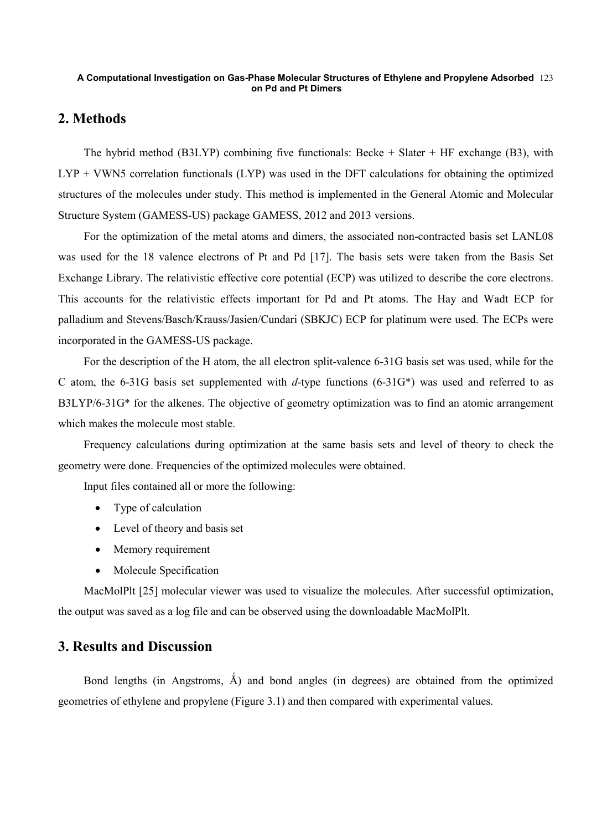### **A Computational Investigation on Gas-Phase Molecular Structures of Ethylene and Propylene Adsorbed**  123 **on Pd and Pt Dimers**

## **2. Methods**

The hybrid method (B3LYP) combining five functionals: Becke  $+$  Slater  $+$  HF exchange (B3), with LYP + VWN5 correlation functionals (LYP) was used in the DFT calculations for obtaining the optimized structures of the molecules under study. This method is implemented in the General Atomic and Molecular Structure System (GAMESS-US) package GAMESS, 2012 and 2013 versions.

For the optimization of the metal atoms and dimers, the associated non-contracted basis set LANL08 was used for the 18 valence electrons of Pt and Pd [17]. The basis sets were taken from the Basis Set Exchange Library. The relativistic effective core potential (ECP) was utilized to describe the core electrons. This accounts for the relativistic effects important for Pd and Pt atoms. The Hay and Wadt ECP for palladium and Stevens/Basch/Krauss/Jasien/Cundari (SBKJC) ECP for platinum were used. The ECPs were incorporated in the GAMESS-US package.

For the description of the H atom, the all electron split-valence 6-31G basis set was used, while for the C atom, the 6-31G basis set supplemented with *d*-type functions (6-31G\*) was used and referred to as B3LYP/6-31G\* for the alkenes. The objective of [geometry optimization](http://www.shodor.org/chemviz/glossary.html%23geomopt) was to find an atomic arrangement which makes the molecule most stable.

Frequency calculations during optimization at the same basis sets and level of theory to check the geometry were done. Frequencies of the optimized molecules were obtained.

Input files contained all or more the following:

- Type of calculation
- Level of theory and basis set
- Memory requirement
- Molecule Specification

MacMolPlt [25] molecular viewer was used to visualize the molecules. After successful optimization, the output was saved as a log file and can be observed using the downloadable MacMolPlt.

## **3. Results and Discussion**

Bond lengths (in Angstroms,  $\hat{A}$ ) and bond angles (in degrees) are obtained from the optimized geometries of ethylene and propylene (Figure 3.1) and then compared with experimental values.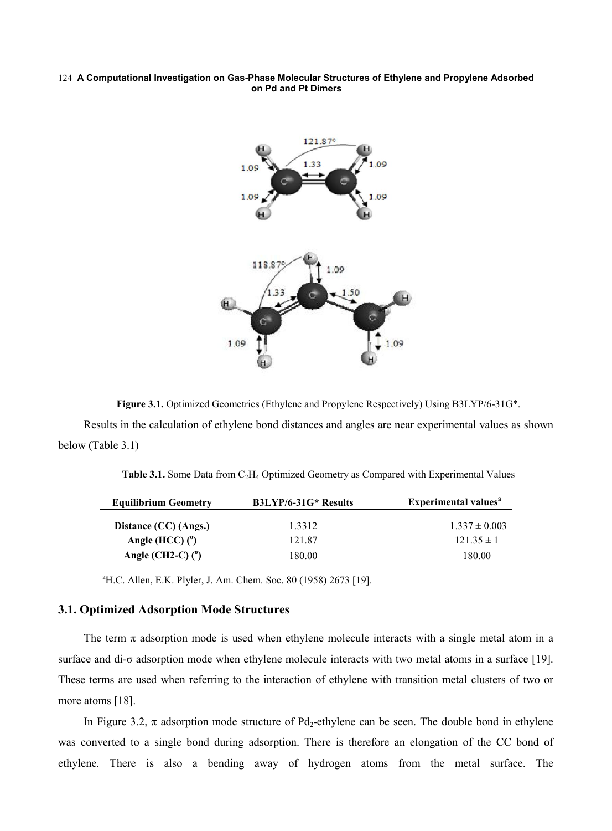#### **A Computational Investigation on Gas-Phase Molecular Structures of Ethylene and Propylene Adsorbed**  124 **on Pd and Pt Dimers**



**Figure 3.1.** Optimized Geometries (Ethylene and Propylene Respectively) Using B3LYP/6-31G\*.

Results in the calculation of ethylene bond distances and angles are near experimental values as shown below (Table 3.1)

| <b>Table 3.1.</b> Some Data from $C_2H_4$ Optimized Geometry as Compared with Experimental Values |  |
|---------------------------------------------------------------------------------------------------|--|
|---------------------------------------------------------------------------------------------------|--|

| <b>Equilibrium Geometry</b> | B3LYP/6-31G* Results | Experimental values <sup>a</sup> |  |
|-----------------------------|----------------------|----------------------------------|--|
| Distance (CC) (Angs.)       | 1 3 3 1 2            | $1.337 \pm 0.003$                |  |
| Angle (HCC) $(°)$           | 121.87               | $12135 \pm 1$                    |  |
| Angle (CH2-C) $(^{0})$      | 180.00               | 180.00                           |  |

a H.C. Allen, E.K. Plyler, J. Am. Chem. Soc. 80 (1958) 2673 [19].

## **3.1. Optimized Adsorption Mode Structures**

The term  $\pi$  adsorption mode is used when ethylene molecule interacts with a single metal atom in a surface and di-σ adsorption mode when ethylene molecule interacts with two metal atoms in a surface [19]. These terms are used when referring to the interaction of ethylene with transition metal clusters of two or more atoms [18].

In Figure 3.2,  $\pi$  adsorption mode structure of Pd<sub>2</sub>-ethylene can be seen. The double bond in ethylene was converted to a single bond during adsorption. There is therefore an elongation of the CC bond of ethylene. There is also a bending away of hydrogen atoms from the metal surface. The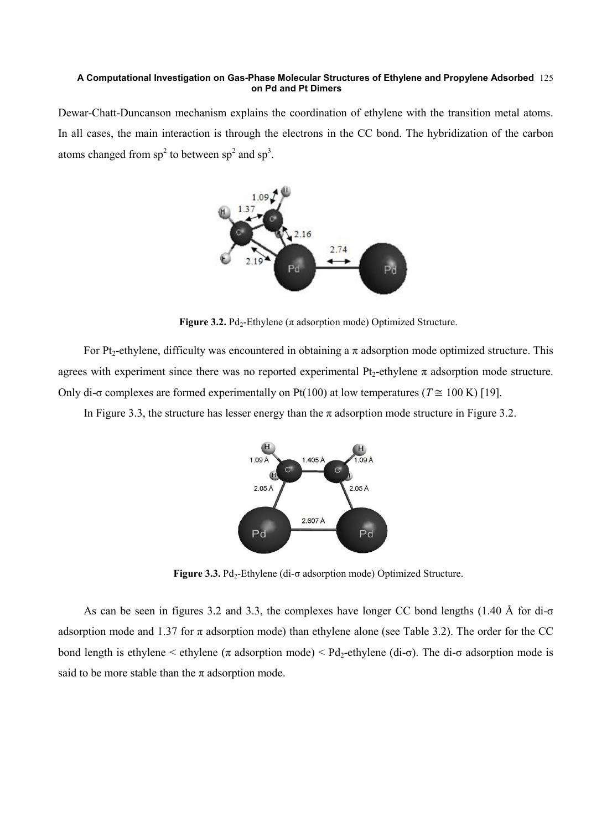### **A Computational Investigation on Gas-Phase Molecular Structures of Ethylene and Propylene Adsorbed**  125 **on Pd and Pt Dimers**

Dewar-Chatt-Duncanson mechanism explains the coordination of ethylene with the transition metal atoms. In all cases, the main interaction is through the electrons in the CC bond. The hybridization of the carbon atoms changed from  $sp^2$  to between  $sp^2$  and  $sp^3$ .



**Figure 3.2.** Pd<sub>2</sub>-Ethylene ( $\pi$  adsorption mode) Optimized Structure.

For Pt<sub>2</sub>-ethylene, difficulty was encountered in obtaining a  $\pi$  adsorption mode optimized structure. This agrees with experiment since there was no reported experimental  $Pt_2$ -ethylene  $\pi$  adsorption mode structure. Only di- $\sigma$  complexes are formed experimentally on Pt(100) at low temperatures ( $T \approx 100 \text{ K}$ ) [19].

In Figure 3.3, the structure has lesser energy than the  $\pi$  adsorption mode structure in Figure 3.2.



Figure 3.3. Pd<sub>2</sub>-Ethylene (di-σ adsorption mode) Optimized Structure.

As can be seen in figures 3.2 and 3.3, the complexes have longer CC bond lengths (1.40 Å for di-σ adsorption mode and 1.37 for  $\pi$  adsorption mode) than ethylene alone (see Table 3.2). The order for the CC bond length is ethylene  $\langle \tau \rangle$  adsorption mode)  $\langle Pd_2$ -ethylene (di- $\sigma$ ). The di- $\sigma$  adsorption mode is said to be more stable than the  $\pi$  adsorption mode.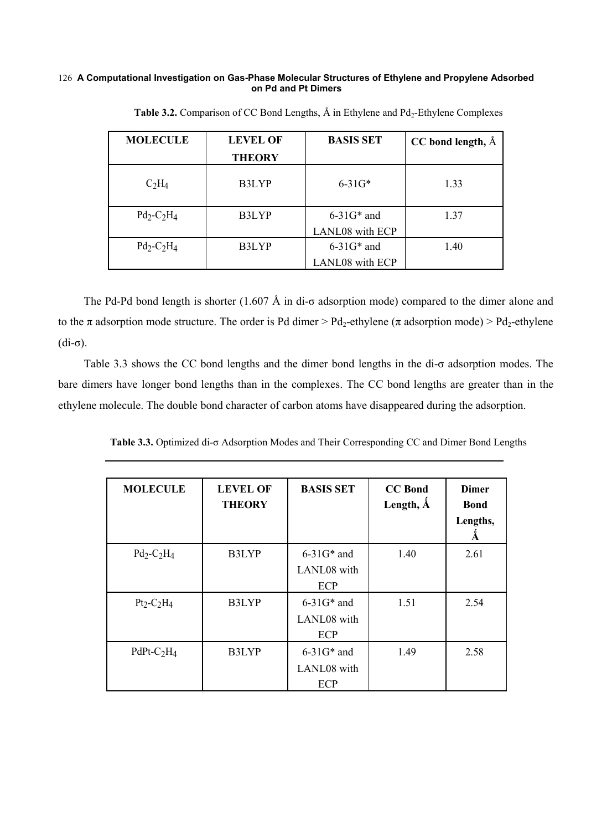#### **A Computational Investigation on Gas-Phase Molecular Structures of Ethylene and Propylene Adsorbed on Pd and Pt Dimers** 126

| <b>MOLECULE</b> | <b>LEVEL OF</b><br><b>THEORY</b> | <b>BASIS SET</b>       | CC bond length, Å |
|-----------------|----------------------------------|------------------------|-------------------|
| $C_2H_4$        | B3LYP                            | $6 - 31G*$             | 1.33              |
| $Pd_2-C_2H_4$   | B3LYP                            | $6 - 31G*$ and         | 1.37              |
|                 |                                  | LANL08 with ECP        |                   |
| $Pd_2-C_2H_4$   | B3LYP                            | $6-31G*$ and<br>1.40   |                   |
|                 |                                  | <b>LANL08</b> with ECP |                   |

Table 3.2. Comparison of CC Bond Lengths,  $\AA$  in Ethylene and Pd<sub>2</sub>-Ethylene Complexes

The Pd-Pd bond length is shorter (1.607 Å in di-σ adsorption mode) compared to the dimer alone and to the  $\pi$  adsorption mode structure. The order is Pd dimer > Pd<sub>2</sub>-ethylene ( $\pi$  adsorption mode) > Pd<sub>2</sub>-ethylene (di-σ).

Table 3.3 shows the CC bond lengths and the dimer bond lengths in the di-σ adsorption modes. The bare dimers have longer bond lengths than in the complexes. The CC bond lengths are greater than in the ethylene molecule. The double bond character of carbon atoms have disappeared during the adsorption.

**Table 3.3.** Optimized di-σ Adsorption Modes and Their Corresponding CC and Dimer Bond Lengths

| <b>MOLECULE</b> | <b>LEVEL OF</b><br><b>THEORY</b> | <b>BASIS SET</b>                      | <b>CC</b> Bond<br>Length, $\AA$ | <b>Dimer</b><br><b>Bond</b><br>Lengths, |
|-----------------|----------------------------------|---------------------------------------|---------------------------------|-----------------------------------------|
| $Pd_2-C_2H_4$   | B3LYP                            | $6-31G*$ and<br>LANL08 with<br>ECP    | 1.40                            | 2.61                                    |
| $Pt_2-C_2H_4$   | B3LYP                            | $6 - 31$ G* and<br>LANL08 with<br>ECP | 1.51                            | 2.54                                    |
| PdPt- $C_2H_4$  | B3LYP                            | $6-31G*$ and<br>LANL08 with<br>ECP    | 1.49                            | 2.58                                    |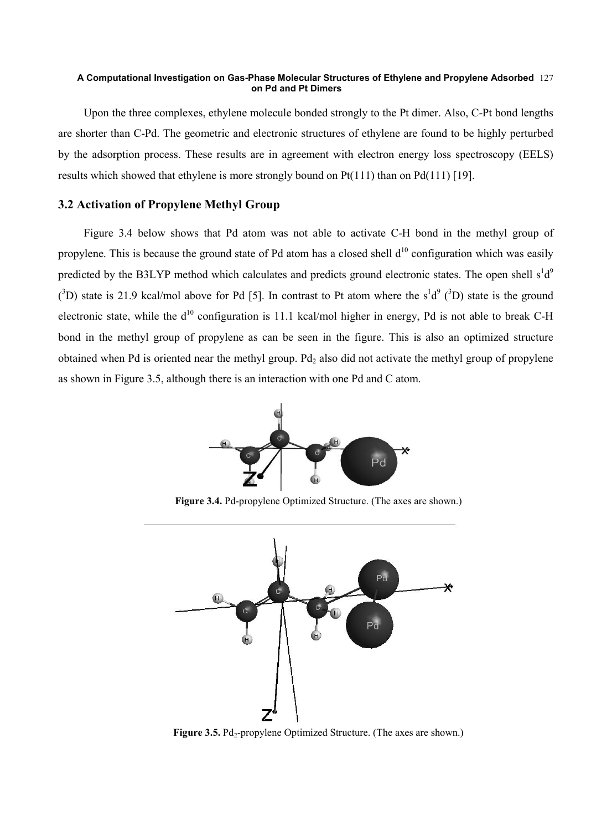### **A Computational Investigation on Gas-Phase Molecular Structures of Ethylene and Propylene Adsorbed**  127 **on Pd and Pt Dimers**

Upon the three complexes, ethylene molecule bonded strongly to the Pt dimer. Also, C-Pt bond lengths are shorter than C-Pd. The geometric and electronic structures of ethylene are found to be highly perturbed by the adsorption process. These results are in agreement with electron energy loss spectroscopy (EELS) results which showed that ethylene is more strongly bound on Pt(111) than on Pd(111) [19].

## **3.2 Activation of Propylene Methyl Group**

Figure 3.4 below shows that Pd atom was not able to activate C-H bond in the methyl group of propylene. This is because the ground state of Pd atom has a closed shell  $d^{10}$  configuration which was easily predicted by the B3LYP method which calculates and predicts ground electronic states. The open shell  $s^1d^9$ ( ${}^{3}D$ ) state is 21.9 kcal/mol above for Pd [5]. In contrast to Pt atom where the s<sup>1</sup>d<sup>9</sup> ( ${}^{3}D$ ) state is the ground electronic state, while the  $d^{10}$  configuration is 11.1 kcal/mol higher in energy, Pd is not able to break C-H bond in the methyl group of propylene as can be seen in the figure. This is also an optimized structure obtained when Pd is oriented near the methyl group. Pd<sub>2</sub> also did not activate the methyl group of propylene as shown in Figure 3.5, although there is an interaction with one Pd and C atom.



**Figure 3.4.** Pd-propylene Optimized Structure. (The axes are shown.)



**Figure 3.5.** Pd<sub>2</sub>-propylene Optimized Structure. (The axes are shown.)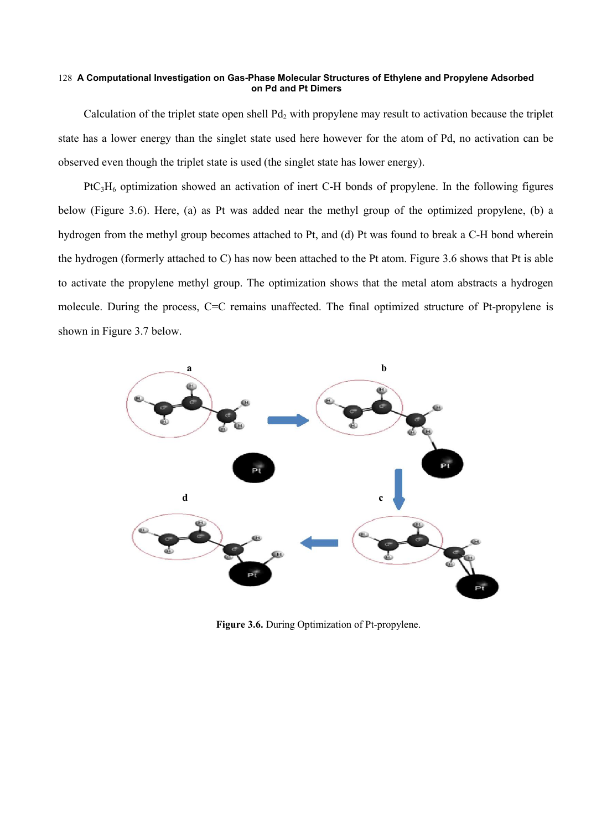#### **A Computational Investigation on Gas-Phase Molecular Structures of Ethylene and Propylene Adsorbed**  128 **on Pd and Pt Dimers**

Calculation of the triplet state open shell  $Pd_2$  with propylene may result to activation because the triplet state has a lower energy than the singlet state used here however for the atom of Pd, no activation can be observed even though the triplet state is used (the singlet state has lower energy).

 $P<sub>1</sub>H<sub>6</sub>$  optimization showed an activation of inert C-H bonds of propylene. In the following figures below (Figure 3.6). Here, (a) as Pt was added near the methyl group of the optimized propylene, (b) a hydrogen from the methyl group becomes attached to Pt, and (d) Pt was found to break a C-H bond wherein the hydrogen (formerly attached to C) has now been attached to the Pt atom. Figure 3.6 shows that Pt is able to activate the propylene methyl group. The optimization shows that the metal atom abstracts a hydrogen molecule. During the process, C=C remains unaffected. The final optimized structure of Pt-propylene is shown in Figure 3.7 below.



**Figure 3.6.** During Optimization of Pt-propylene.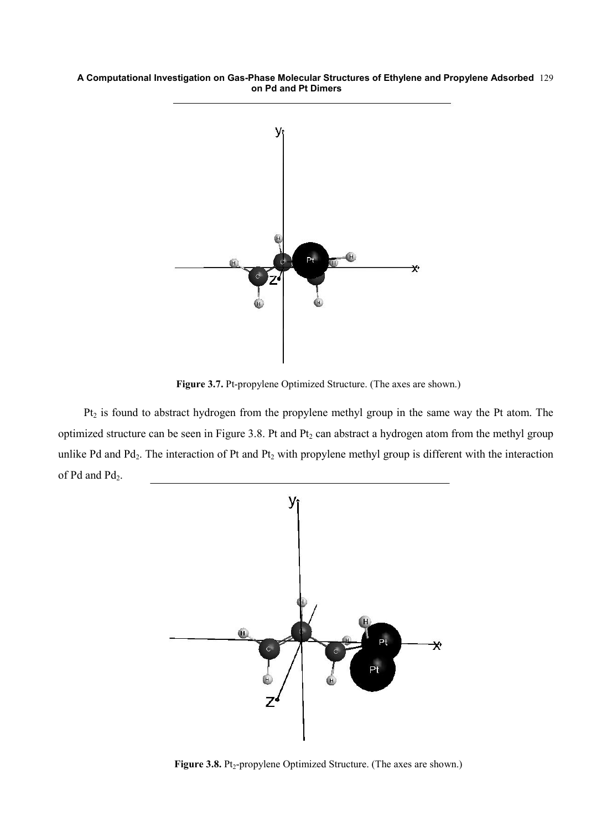#### **A Computational Investigation on Gas-Phase Molecular Structures of Ethylene and Propylene Adsorbed**  129 **on Pd and Pt Dimers**



**Figure 3.7.** Pt-propylene Optimized Structure. (The axes are shown.)

Pt<sub>2</sub> is found to abstract hydrogen from the propylene methyl group in the same way the Pt atom. The optimized structure can be seen in Figure 3.8. Pt and Pt<sub>2</sub> can abstract a hydrogen atom from the methyl group unlike Pd and Pd<sub>2</sub>. The interaction of Pt and Pt<sub>2</sub> with propylene methyl group is different with the interaction of Pd and Pd<sub>2</sub>.



Figure 3.8. Pt<sub>2</sub>-propylene Optimized Structure. (The axes are shown.)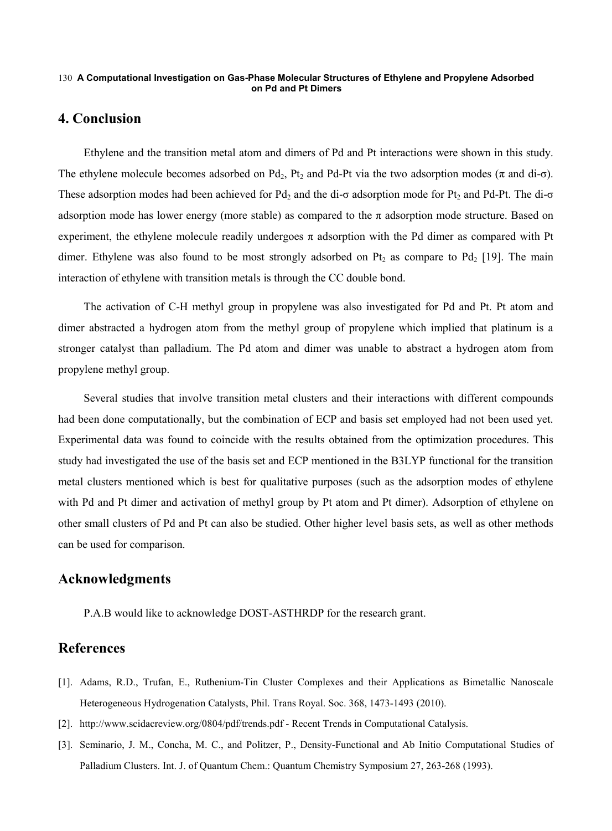#### **A Computational Investigation on Gas-Phase Molecular Structures of Ethylene and Propylene Adsorbed**  130 **on Pd and Pt Dimers**

## **4. Conclusion**

Ethylene and the transition metal atom and dimers of Pd and Pt interactions were shown in this study. The ethylene molecule becomes adsorbed on Pd<sub>2</sub>, Pt<sub>2</sub> and Pd-Pt via the two adsorption modes ( $\pi$  and di- $\sigma$ ). These adsorption modes had been achieved for Pd<sub>2</sub> and the di-σ adsorption mode for Pt<sub>2</sub> and Pd-Pt. The di-σ adsorption mode has lower energy (more stable) as compared to the  $\pi$  adsorption mode structure. Based on experiment, the ethylene molecule readily undergoes  $\pi$  adsorption with the Pd dimer as compared with Pt dimer. Ethylene was also found to be most strongly adsorbed on  $Pt_2$  as compare to  $Pd_2$  [19]. The main interaction of ethylene with transition metals is through the CC double bond.

The activation of C-H methyl group in propylene was also investigated for Pd and Pt. Pt atom and dimer abstracted a hydrogen atom from the methyl group of propylene which implied that platinum is a stronger catalyst than palladium. The Pd atom and dimer was unable to abstract a hydrogen atom from propylene methyl group.

Several studies that involve transition metal clusters and their interactions with different compounds had been done computationally, but the combination of ECP and basis set employed had not been used yet. Experimental data was found to coincide with the results obtained from the optimization procedures. This study had investigated the use of the basis set and ECP mentioned in the B3LYP functional for the transition metal clusters mentioned which is best for qualitative purposes (such as the adsorption modes of ethylene with Pd and Pt dimer and activation of methyl group by Pt atom and Pt dimer). Adsorption of ethylene on other small clusters of Pd and Pt can also be studied. Other higher level basis sets, as well as other methods can be used for comparison.

## **Acknowledgments**

P.A.B would like to acknowledge DOST-ASTHRDP for the research grant.

## **References**

- [1]. Adams, R.D., Trufan, E., Ruthenium-Tin Cluster Complexes and their Applications as Bimetallic Nanoscale Heterogeneous Hydrogenation Catalysts, Phil. Trans Royal. Soc. 368, 1473-1493 (2010).
- [2]. http://www.scidacreview.org/0804/pdf/trends.pdf Recent Trends in Computational Catalysis.
- [3]. Seminario, J. M., Concha, M. C., and Politzer, P., Density-Functional and Ab Initio Computational Studies of Palladium Clusters. Int. J. of Quantum Chem.: Quantum Chemistry Symposium 27, 263-268 (1993).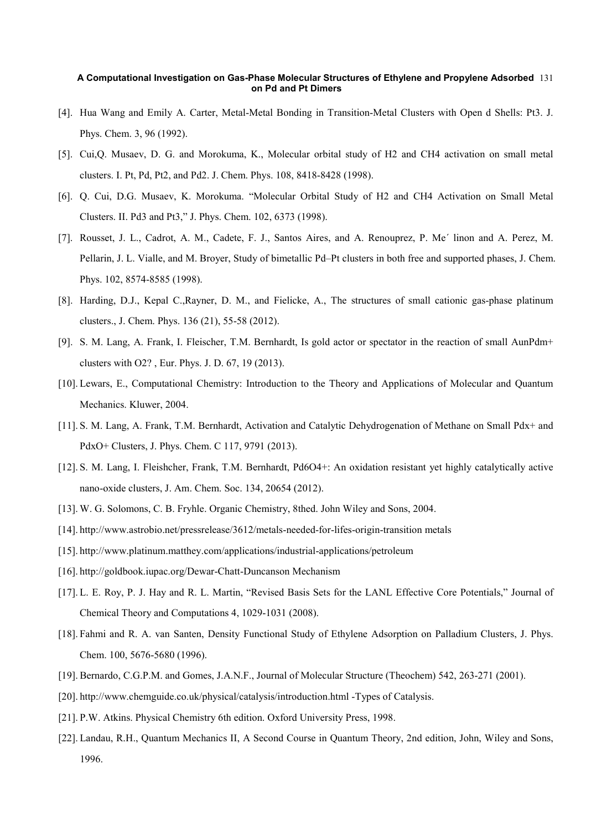#### **A Computational Investigation on Gas-Phase Molecular Structures of Ethylene and Propylene Adsorbed**  131 **on Pd and Pt Dimers**

- [4]. Hua Wang and Emily A. Carter, Metal-Metal Bonding in Transition-Metal Clusters with Open d Shells: Pt3. J. Phys. Chem. 3, 96 (1992).
- [5]. Cui,Q. Musaev, D. G. and Morokuma, K., Molecular orbital study of H2 and CH4 activation on small metal clusters. I. Pt, Pd, Pt2, and Pd2. J. Chem. Phys. 108, 8418-8428 (1998).
- [6]. Q. Cui, D.G. Musaev, K. Morokuma. "Molecular Orbital Study of H2 and CH4 Activation on Small Metal Clusters. II. Pd3 and Pt3," J. Phys. Chem. 102, 6373 (1998).
- [7]. Rousset, J. L., Cadrot, A. M., Cadete, F. J., Santos Aires, and A. Renouprez, P. Me´ linon and A. Perez, M. Pellarin, J. L. Vialle, and M. Broyer, Study of bimetallic Pd–Pt clusters in both free and supported phases, J. Chem. Phys. 102, 8574-8585 (1998).
- [8]. Harding, D.J., Kepal C.,Rayner, D. M., and Fielicke, A., The structures of small cationic gas-phase platinum clusters., J. Chem. Phys. 136 (21), 55-58 (2012).
- [9]. S. M. Lang, A. Frank, I. Fleischer, T.M. Bernhardt, Is gold actor or spectator in the reaction of small AunPdm+ clusters with O2? , Eur. Phys. J. D. 67, 19 (2013).
- [10]. Lewars, E., Computational Chemistry: Introduction to the Theory and Applications of Molecular and Quantum Mechanics. Kluwer, 2004.
- [11]. S. M. Lang, A. Frank, T.M. Bernhardt, Activation and Catalytic Dehydrogenation of Methane on Small Pdx+ and PdxO+ Clusters, J. Phys. Chem. C 117, 9791 (2013).
- [12]. S. M. Lang, I. Fleishcher, Frank, T.M. Bernhardt, Pd6O4+: An oxidation resistant yet highly catalytically active nano-oxide clusters, J. Am. Chem. Soc. 134, 20654 (2012).
- [13]. W. G. Solomons, C. B. Fryhle. Organic Chemistry, 8thed. John Wiley and Sons, 2004.
- [14]. http://www.astrobio.net/pressrelease/3612/metals-needed-for-lifes-origin-transition metals
- [15]. http://www.platinum.matthey.com/applications/industrial-applications/petroleum
- [16]. http://goldbook.iupac.org/Dewar-Chatt-Duncanson Mechanism
- [17]. L. E. Roy, P. J. Hay and R. L. Martin, "Revised Basis Sets for the LANL Effective Core Potentials," Journal of Chemical Theory and Computations 4, 1029-1031 (2008).
- [18]. Fahmi and R. A. van Santen, Density Functional Study of Ethylene Adsorption on Palladium Clusters, J. Phys. Chem. 100, 5676-5680 (1996).
- [19]. Bernardo, C.G.P.M. and Gomes, J.A.N.F., Journal of Molecular Structure (Theochem) 542, 263-271 (2001).
- [20]. http://www.chemguide.co.uk/physical/catalysis/introduction.html -Types of Catalysis.
- [21]. P.W. Atkins. Physical Chemistry 6th edition. Oxford University Press, 1998.
- [22]. Landau, R.H., Quantum Mechanics II, A Second Course in Quantum Theory, 2nd edition, John, Wiley and Sons, 1996.